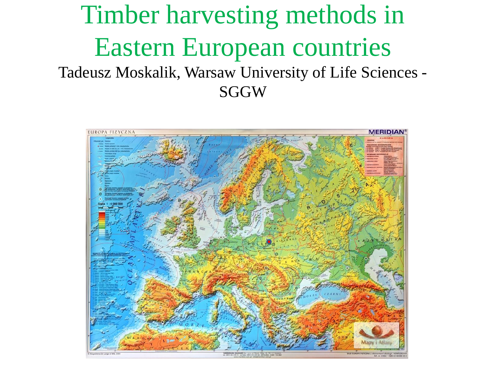#### Timber harvesting methods in Eastern European countries Tadeusz Moskalik, Warsaw University of Life Sciences - **SGGW**

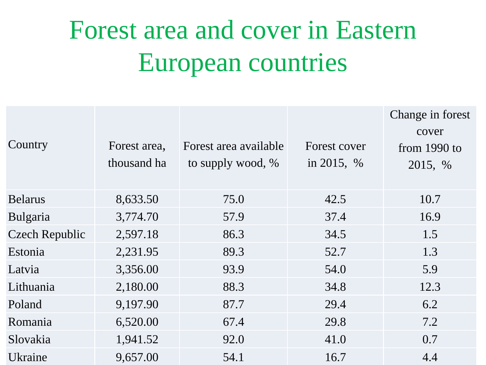### Forest area and cover in Eastern European countries

|                       |              |                       |              | Change in forest |
|-----------------------|--------------|-----------------------|--------------|------------------|
|                       |              |                       |              | cover            |
| Country               | Forest area, | Forest area available | Forest cover | from $1990$ to   |
|                       | thousand ha  | to supply wood, %     | in 2015, $%$ | 2015, %          |
| <b>Belarus</b>        | 8,633.50     | 75.0                  | 42.5         | 10.7             |
| Bulgaria              | 3,774.70     | 57.9                  | 37.4         | 16.9             |
| <b>Czech Republic</b> | 2,597.18     | 86.3                  | 34.5         | 1.5              |
| Estonia               | 2,231.95     | 89.3                  | 52.7         | 1.3              |
| Latvia                | 3,356.00     | 93.9                  | 54.0         | 5.9              |
| Lithuania             | 2,180.00     | 88.3                  | 34.8         | 12.3             |
| Poland                | 9,197.90     | 87.7                  | 29.4         | 6.2              |
| Romania               | 6,520.00     | 67.4                  | 29.8         | 7.2              |
| Slovakia              | 1,941.52     | 92.0                  | 41.0         | 0.7              |
| Ukraine               | 9,657.00     | 54.1                  | 16.7         | 4.4              |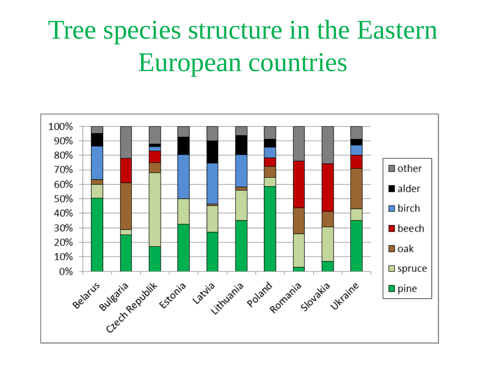### Tree species structure in the Eastern European countries

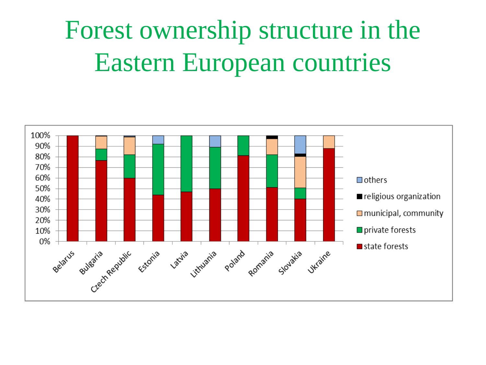#### Forest ownership structure in the Eastern European countries

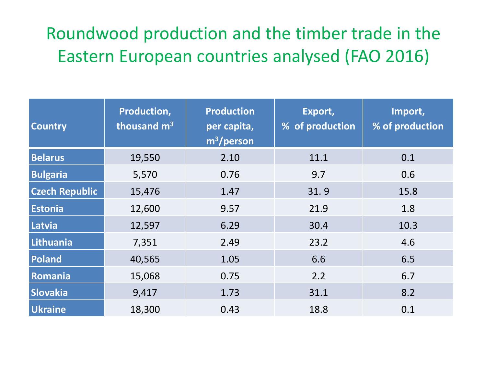#### Roundwood production and the timber trade in the Eastern European countries analysed (FAO 2016)

| <b>Country</b>        | Production,<br>thousand m <sup>3</sup> | <b>Production</b><br>per capita,<br>$m^3$ /person | Export,<br>% of production | Import,<br>% of production |
|-----------------------|----------------------------------------|---------------------------------------------------|----------------------------|----------------------------|
| <b>Belarus</b>        | 19,550                                 | 2.10                                              | 11.1                       | 0.1                        |
| <b>Bulgaria</b>       | 5,570                                  | 0.76                                              | 9.7                        | 0.6                        |
| <b>Czech Republic</b> | 15,476                                 | 1.47                                              | 31.9                       | 15.8                       |
| <b>Estonia</b>        | 12,600                                 | 9.57                                              | 21.9                       | 1.8                        |
| Latvia                | 12,597                                 | 6.29                                              | 30.4                       | 10.3                       |
| Lithuania             | 7,351                                  | 2.49                                              | 23.2                       | 4.6                        |
| Poland                | 40,565                                 | 1.05                                              | 6.6                        | 6.5                        |
| Romania               | 15,068                                 | 0.75                                              | 2.2                        | 6.7                        |
| <b>Slovakia</b>       | 9,417                                  | 1.73                                              | 31.1                       | 8.2                        |
| <b>Ukraine</b>        | 18,300                                 | 0.43                                              | 18.8                       | 0.1                        |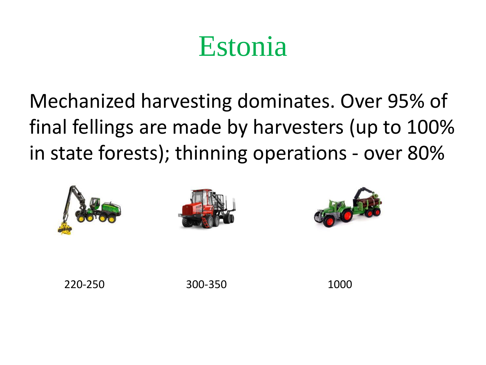#### Estonia

Mechanized harvesting dominates. Over 95% of final fellings are made by harvesters (up to 100% in state forests); thinning operations - over 80%



220-250 300-350 1000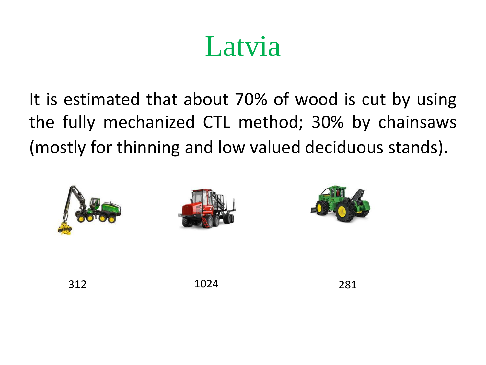### Latvia

It is estimated that about 70% of wood is cut by using the fully mechanized CTL method; 30% by chainsaws (mostly for thinning and low valued deciduous stands).



312 1024 281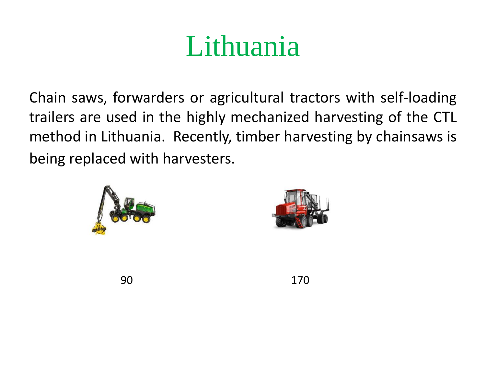## Lithuania

Chain saws, forwarders or agricultural tractors with self-loading trailers are used in the highly mechanized harvesting of the CTL method in Lithuania. Recently, timber harvesting by chainsaws is being replaced with harvesters.





90 170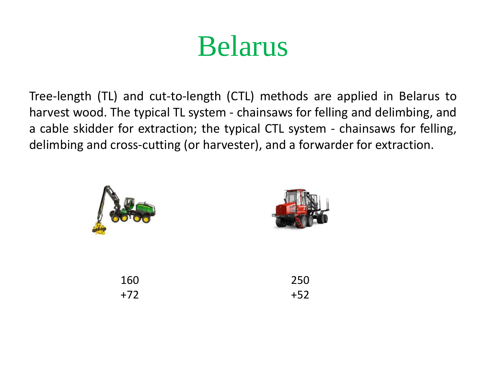#### Belarus

Tree-length (TL) and cut-to-length (CTL) methods are applied in Belarus to harvest wood. The typical TL system - chainsaws for felling and delimbing, and a cable skidder for extraction; the typical CTL system - chainsaws for felling, delimbing and cross-cutting (or harvester), and a forwarder for extraction.

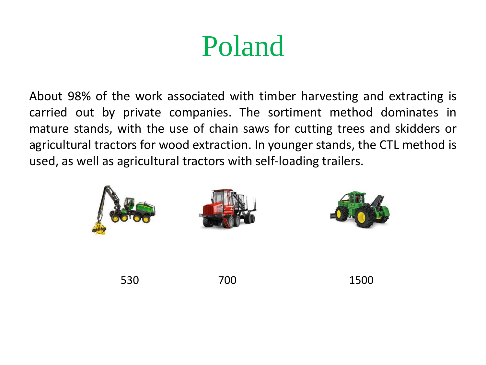## Poland

About 98% of the work associated with timber harvesting and extracting is carried out by private companies. The sortiment method dominates in mature stands, with the use of chain saws for cutting trees and skidders or agricultural tractors for wood extraction. In younger stands, the CTL method is used, as well as agricultural tractors with self-loading trailers.

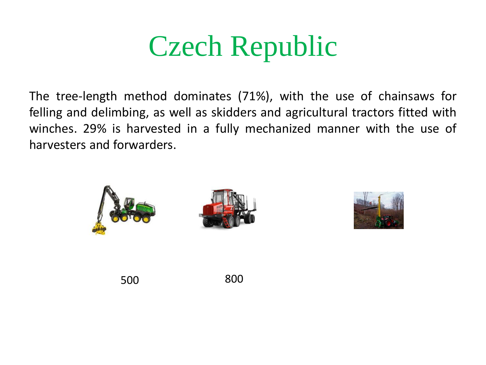### Czech Republic

The tree-length method dominates (71%), with the use of chainsaws for felling and delimbing, as well as skidders and agricultural tractors fitted with winches. 29% is harvested in a fully mechanized manner with the use of harvesters and forwarders.





500 800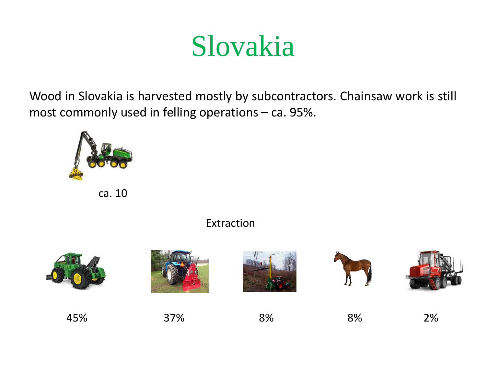#### Slovakia

Wood in Slovakia is harvested mostly by subcontractors. Chainsaw work is still most commonly used in felling operations – ca. 95%.



ca. 10

#### Extraction

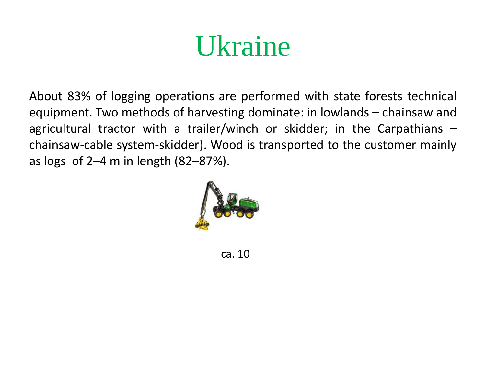#### Ukraine

About 83% of logging operations are performed with state forests technical equipment. Two methods of harvesting dominate: in lowlands – chainsaw and agricultural tractor with a trailer/winch or skidder; in the Carpathians – chainsaw-cable system-skidder). Wood is transported to the customer mainly as logs of 2–4 m in length (82–87%).



ca. 10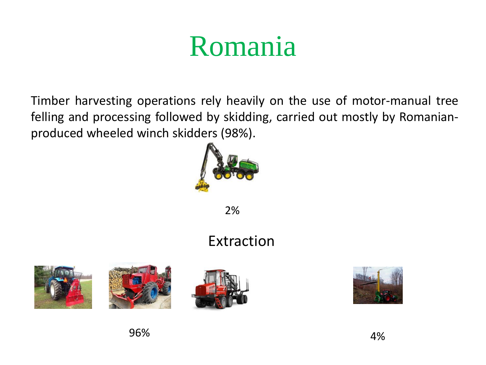## Romania

Timber harvesting operations rely heavily on the use of motor-manual tree felling and processing followed by skidding, carried out mostly by Romanianproduced wheeled winch skidders (98%).



2%

#### Extraction







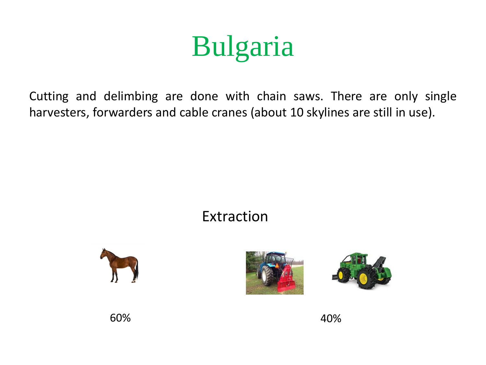# Bulgaria

Cutting and delimbing are done with chain saws. There are only single harvesters, forwarders and cable cranes (about 10 skylines are still in use).

#### Extraction







60% 40%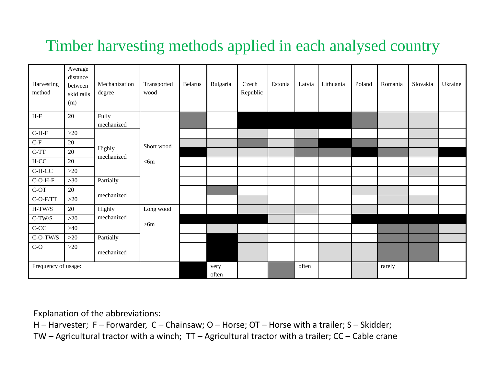#### Timber harvesting methods applied in each analysed country

| Harvesting<br>method  | Average<br>distance<br>between<br>skid rails<br>(m) | Mechanization<br>degree        | Transported<br>wood  | Belarus | Bulgaria | Czech<br>Republic | Estonia | Latvia | Lithuania | Poland | Romania | Slovakia | Ukraine |
|-----------------------|-----------------------------------------------------|--------------------------------|----------------------|---------|----------|-------------------|---------|--------|-----------|--------|---------|----------|---------|
| $H-F$                 | 20                                                  | Fully<br>mechanized            |                      |         |          |                   |         |        |           |        |         |          |         |
| $C-H-F$               | $>20$                                               |                                |                      |         |          |                   |         |        |           |        |         |          |         |
| $\operatorname{C-F}$  | 20                                                  |                                | Short wood<br>$<$ 6m |         |          |                   |         |        |           |        |         |          |         |
| $C-TT$                | 20                                                  | Highly<br>mechanized           |                      |         |          |                   |         |        |           |        |         |          |         |
| $H-CC$                | 20                                                  |                                |                      |         |          |                   |         |        |           |        |         |          |         |
| $C-H-CC$              | $>20$                                               |                                |                      |         |          |                   |         |        |           |        |         |          |         |
| $C-O-H-F$             | $>30$                                               | Partially                      |                      |         |          |                   |         |        |           |        |         |          |         |
| $\operatorname{C-OT}$ | 20                                                  | mechanized                     |                      |         |          |                   |         |        |           |        |         |          |         |
| $\mbox{C-O-F/TT}$     | $>20$                                               |                                |                      |         |          |                   |         |        |           |        |         |          |         |
| $H-TW/S$              | 20                                                  | Highly                         | Long wood            |         |          |                   |         |        |           |        |         |          |         |
| $C-TW/S$              | $>20$                                               | mechanized<br>>6m<br>Partially |                      |         |          |                   |         |        |           |        |         |          |         |
| $\mbox{C-CC}$         | $>40$                                               |                                |                      |         |          |                   |         |        |           |        |         |          |         |
| $\text{C-O-TW/S}$     | $>20$                                               |                                |                      |         |          |                   |         |        |           |        |         |          |         |
| $C-O$                 | $>20$                                               | mechanized                     |                      |         |          |                   |         |        |           |        |         |          |         |
| Frequency of usage:   |                                                     |                                | very<br>often        |         |          | often             |         |        | rarely    |        |         |          |         |

Explanation of the abbreviations:

H – Harvester; F – Forwarder, C – Chainsaw; O – Horse; OT – Horse with a trailer; S – Skidder;

TW – Agricultural tractor with a winch;  $TT$  – Agricultural tractor with a trailer;  $CC$  – Cable crane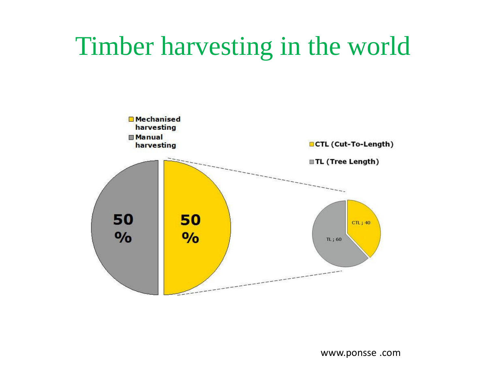#### Timber harvesting in the world

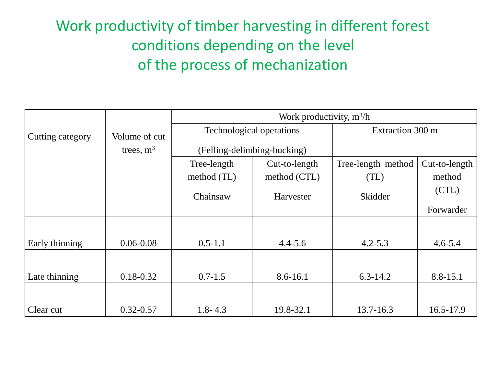#### Work productivity of timber harvesting in different forest conditions depending on the level of the process of mechanization

|                  |               | Work productivity, $m^3/h$ |                             |                    |               |  |  |  |  |
|------------------|---------------|----------------------------|-----------------------------|--------------------|---------------|--|--|--|--|
| Cutting category | Volume of cut |                            | Technological operations    | Extraction 300 m   |               |  |  |  |  |
|                  | trees, $m3$   |                            | (Felling-delimbing-bucking) |                    |               |  |  |  |  |
|                  |               | Tree-length                | Cut-to-length               | Tree-length method | Cut-to-length |  |  |  |  |
|                  |               | method (TL)                | method (CTL)                | (TL)               | method        |  |  |  |  |
|                  |               | Chainsaw                   | Harvester                   | Skidder            | (CTL)         |  |  |  |  |
|                  |               |                            |                             |                    | Forwarder     |  |  |  |  |
|                  |               |                            |                             |                    |               |  |  |  |  |
| Early thinning   | $0.06 - 0.08$ | $0.5 - 1.1$                | $4.4 - 5.6$                 | $4.2 - 5.3$        | $4.6 - 5.4$   |  |  |  |  |
|                  |               |                            |                             |                    |               |  |  |  |  |
| Late thinning    | $0.18 - 0.32$ | $0.7 - 1.5$                | $8.6 - 16.1$                | $6.3 - 14.2$       | 8.8-15.1      |  |  |  |  |
|                  |               |                            |                             |                    |               |  |  |  |  |
| Clear cut        | $0.32 - 0.57$ | $1.8 - 4.3$                | 19.8-32.1                   | $13.7 - 16.3$      | 16.5-17.9     |  |  |  |  |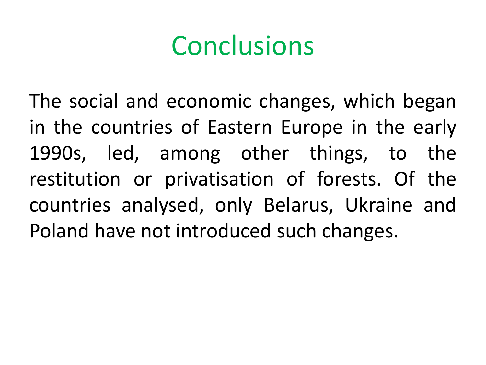The social and economic changes, which began in the countries of Eastern Europe in the early 1990s, led, among other things, to the restitution or privatisation of forests. Of the countries analysed, only Belarus, Ukraine and Poland have not introduced such changes.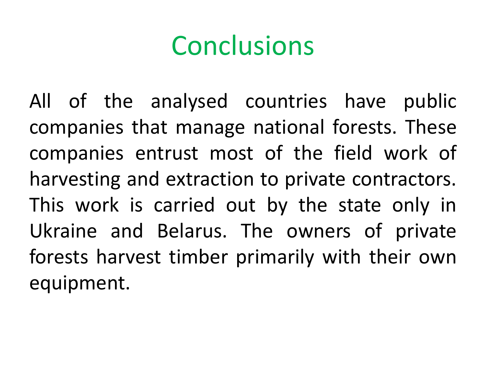All of the analysed countries have public companies that manage national forests. These companies entrust most of the field work of harvesting and extraction to private contractors. This work is carried out by the state only in Ukraine and Belarus. The owners of private forests harvest timber primarily with their own equipment.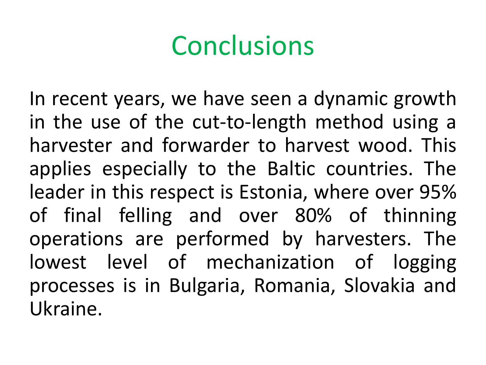In recent years, we have seen a dynamic growth in the use of the cut-to-length method using a harvester and forwarder to harvest wood. This applies especially to the Baltic countries. The leader in this respect is Estonia, where over 95% of final felling and over 80% of thinning operations are performed by harvesters. The lowest level of mechanization of logging processes is in Bulgaria, Romania, Slovakia and Ukraine.